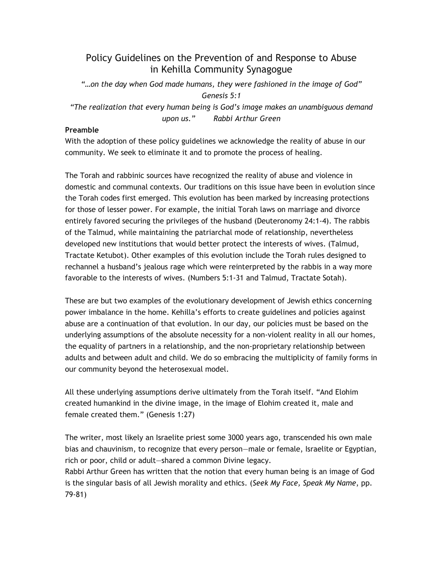# Policy Guidelines on the Prevention of and Response to Abuse in Kehilla Community Synagogue

"…on the day when God made humans, they were fashioned in the image of God" Genesis 5:1 "The realization that every human being is God's image makes an unambiguous demand upon us." Rabbi Arthur Green

# Preamble

With the adoption of these policy guidelines we acknowledge the reality of abuse in our community. We seek to eliminate it and to promote the process of healing.

The Torah and rabbinic sources have recognized the reality of abuse and violence in domestic and communal contexts. Our traditions on this issue have been in evolution since the Torah codes first emerged. This evolution has been marked by increasing protections for those of lesser power. For example, the initial Torah laws on marriage and divorce entirely favored securing the privileges of the husband (Deuteronomy 24:1-4). The rabbis of the Talmud, while maintaining the patriarchal mode of relationship, nevertheless developed new institutions that would better protect the interests of wives. (Talmud, Tractate Ketubot). Other examples of this evolution include the Torah rules designed to rechannel a husband's jealous rage which were reinterpreted by the rabbis in a way more favorable to the interests of wives. (Numbers 5:1-31 and Talmud, Tractate Sotah).

These are but two examples of the evolutionary development of Jewish ethics concerning power imbalance in the home. Kehilla's efforts to create guidelines and policies against abuse are a continuation of that evolution. In our day, our policies must be based on the underlying assumptions of the absolute necessity for a non-violent reality in all our homes, the equality of partners in a relationship, and the non-proprietary relationship between adults and between adult and child. We do so embracing the multiplicity of family forms in our community beyond the heterosexual model.

All these underlying assumptions derive ultimately from the Torah itself. "And Elohim created humankind in the divine image, in the image of Elohim created it, male and female created them." (Genesis 1:27)

The writer, most likely an Israelite priest some 3000 years ago, transcended his own male bias and chauvinism, to recognize that every person—male or female, Israelite or Egyptian, rich or poor, child or adult—shared a common Divine legacy.

Rabbi Arthur Green has written that the notion that every human being is an image of God is the singular basis of all Jewish morality and ethics. (Seek My Face, Speak My Name, pp. 79-81)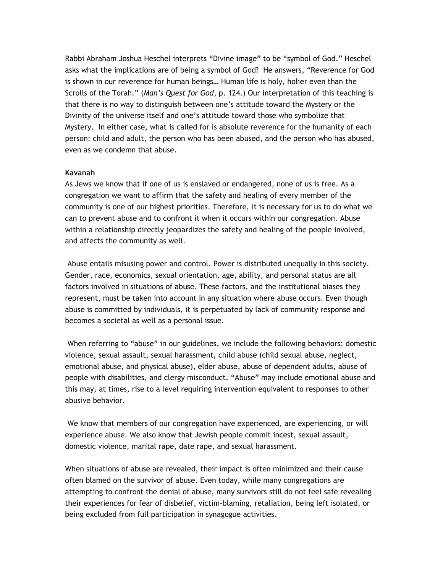Rabbi Abraham Joshua Heschel interprets "Divine image" to be "symbol of God." Heschel asks what the implications are of being a symbol of God? He answers, "Reverence for God is shown in our reverence for human beings… Human life is holy, holier even than the Scrolls of the Torah." (Man's Quest for God, p. 124.) Our interpretation of this teaching is that there is no way to distinguish between one's attitude toward the Mystery or the Divinity of the universe itself and one's attitude toward those who symbolize that Mystery. In either case, what is called for is absolute reverence for the humanity of each person: child and adult, the person who has been abused, and the person who has abused, even as we condemn that abuse.

#### Kavanah

As Jews we know that if one of us is enslaved or endangered, none of us is free. As a congregation we want to affirm that the safety and healing of every member of the community is one of our highest priorities. Therefore, it is necessary for us to do what we can to prevent abuse and to confront it when it occurs within our congregation. Abuse within a relationship directly jeopardizes the safety and healing of the people involved, and affects the community as well.

 Abuse entails misusing power and control. Power is distributed unequally in this society. Gender, race, economics, sexual orientation, age, ability, and personal status are all factors involved in situations of abuse. These factors, and the institutional biases they represent, must be taken into account in any situation where abuse occurs. Even though abuse is committed by individuals, it is perpetuated by lack of community response and becomes a societal as well as a personal issue.

 When referring to "abuse" in our guidelines, we include the following behaviors: domestic violence, sexual assault, sexual harassment, child abuse (child sexual abuse, neglect, emotional abuse, and physical abuse), elder abuse, abuse of dependent adults, abuse of people with disabilities, and clergy misconduct. "Abuse" may include emotional abuse and this may, at times, rise to a level requiring intervention equivalent to responses to other abusive behavior.

 We know that members of our congregation have experienced, are experiencing, or will experience abuse. We also know that Jewish people commit incest, sexual assault, domestic violence, marital rape, date rape, and sexual harassment.

When situations of abuse are revealed, their impact is often minimized and their cause often blamed on the survivor of abuse. Even today, while many congregations are attempting to confront the denial of abuse, many survivors still do not feel safe revealing their experiences for fear of disbelief, victim-blaming, retaliation, being left isolated, or being excluded from full participation in synagogue activities.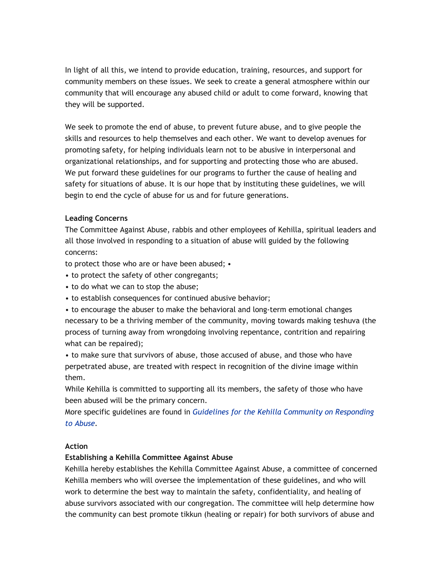In light of all this, we intend to provide education, training, resources, and support for community members on these issues. We seek to create a general atmosphere within our community that will encourage any abused child or adult to come forward, knowing that they will be supported.

We seek to promote the end of abuse, to prevent future abuse, and to give people the skills and resources to help themselves and each other. We want to develop avenues for promoting safety, for helping individuals learn not to be abusive in interpersonal and organizational relationships, and for supporting and protecting those who are abused. We put forward these guidelines for our programs to further the cause of healing and safety for situations of abuse. It is our hope that by instituting these guidelines, we will begin to end the cycle of abuse for us and for future generations.

## Leading Concerns

The Committee Against Abuse, rabbis and other employees of Kehilla, spiritual leaders and all those involved in responding to a situation of abuse will guided by the following concerns:

to protect those who are or have been abused; •

- to protect the safety of other congregants;
- to do what we can to stop the abuse;
- to establish consequences for continued abusive behavior;

• to encourage the abuser to make the behavioral and long-term emotional changes necessary to be a thriving member of the community, moving towards making teshuva (the process of turning away from wrongdoing involving repentance, contrition and repairing what can be repaired);

• to make sure that survivors of abuse, those accused of abuse, and those who have perpetrated abuse, are treated with respect in recognition of the divine image within them.

While Kehilla is committed to supporting all its members, the safety of those who have been abused will be the primary concern.

More specific guidelines are found in Guidelines for the Kehilla Community on Responding to Abuse.

#### Action

# Establishing a Kehilla Committee Against Abuse

Kehilla hereby establishes the Kehilla Committee Against Abuse, a committee of concerned Kehilla members who will oversee the implementation of these guidelines, and who will work to determine the best way to maintain the safety, confidentiality, and healing of abuse survivors associated with our congregation. The committee will help determine how the community can best promote tikkun (healing or repair) for both survivors of abuse and